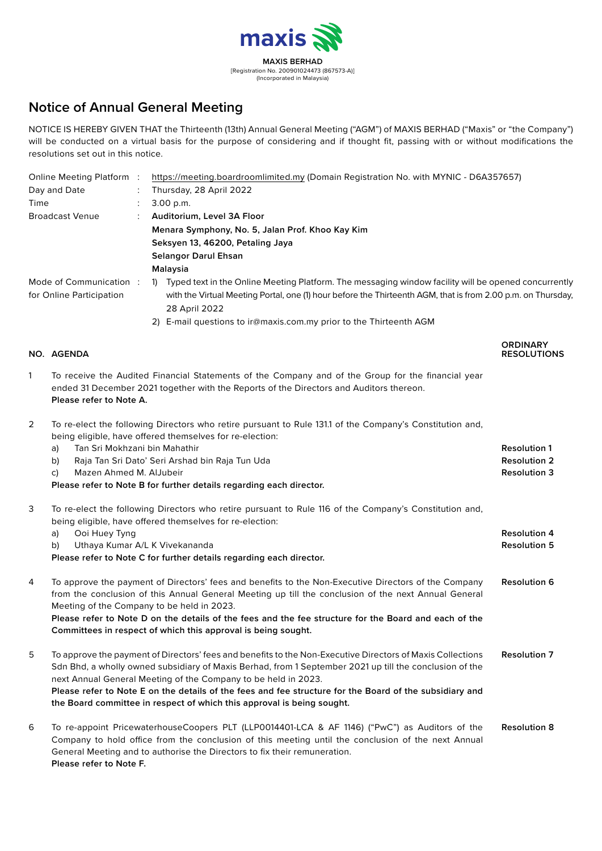

# **Notice of Annual General Meeting**

NOTICE IS HEREBY GIVEN THAT the Thirteenth (13th) Annual General Meeting ("AGM") of MAXIS BERHAD ("Maxis" or "the Company") will be conducted on a virtual basis for the purpose of considering and if thought fit, passing with or without modifications the resolutions set out in this notice.

| Online Meeting Platform :                          |  | https://meeting.boardroomlimited.my (Domain Registration No. with MYNIC - D6A357657)                                                                                                                                                                  |  |
|----------------------------------------------------|--|-------------------------------------------------------------------------------------------------------------------------------------------------------------------------------------------------------------------------------------------------------|--|
| Day and Date                                       |  | Thursday, 28 April 2022                                                                                                                                                                                                                               |  |
| Time                                               |  | 3.00 p.m.                                                                                                                                                                                                                                             |  |
| <b>Broadcast Venue</b>                             |  | Auditorium, Level 3A Floor                                                                                                                                                                                                                            |  |
|                                                    |  | Menara Symphony, No. 5, Jalan Prof. Khoo Kay Kim                                                                                                                                                                                                      |  |
|                                                    |  | Seksyen 13, 46200, Petaling Jaya                                                                                                                                                                                                                      |  |
|                                                    |  | <b>Selangor Darul Ehsan</b>                                                                                                                                                                                                                           |  |
|                                                    |  | Malaysia                                                                                                                                                                                                                                              |  |
| Mode of Communication:<br>for Online Participation |  | Typed text in the Online Meeting Platform. The messaging window facility will be opened concurrently<br>$\mathbf{D}$<br>with the Virtual Meeting Portal, one (1) hour before the Thirteenth AGM, that is from 2.00 p.m. on Thursday,<br>28 April 2022 |  |
|                                                    |  | 2) E-mail questions to ir@maxis.com.my prior to the Thirteenth AGM                                                                                                                                                                                    |  |
|                                                    |  | <b>ORDINARY</b>                                                                                                                                                                                                                                       |  |

**NO. AGENDA RESOLUTIONS**

| To receive the Audited Financial Statements of the Company and of the Group for the financial year |
|----------------------------------------------------------------------------------------------------|
| ended 31 December 2021 together with the Reports of the Directors and Auditors thereon.            |
| Please refer to Note A.                                                                            |

2 To re-elect the following Directors who retire pursuant to Rule 131.1 of the Company's Constitution and, being eligible, have offered themselves for re-election:

|   | Tan Sri Mokhzani bin Mahathir<br>a)<br>Raja Tan Sri Dato' Seri Arshad bin Raja Tun Uda<br>b)<br>Mazen Ahmed M. AlJubeir<br>C)<br>Please refer to Note B for further details regarding each director.                                                                                                                                                                                                                                                                         | <b>Resolution 1</b><br><b>Resolution 2</b><br><b>Resolution 3</b> |
|---|------------------------------------------------------------------------------------------------------------------------------------------------------------------------------------------------------------------------------------------------------------------------------------------------------------------------------------------------------------------------------------------------------------------------------------------------------------------------------|-------------------------------------------------------------------|
| 3 | To re-elect the following Directors who retire pursuant to Rule 116 of the Company's Constitution and,<br>being eligible, have offered themselves for re-election:<br>Ooi Huey Tyng<br>a)<br>Uthaya Kumar A/L K Vivekananda<br>b)<br>Please refer to Note C for further details regarding each director.                                                                                                                                                                     | <b>Resolution 4</b><br><b>Resolution 5</b>                        |
| 4 | To approve the payment of Directors' fees and benefits to the Non-Executive Directors of the Company<br>from the conclusion of this Annual General Meeting up till the conclusion of the next Annual General<br>Meeting of the Company to be held in 2023.<br>Please refer to Note D on the details of the fees and the fee structure for the Board and each of the<br>Committees in respect of which this approval is being sought.                                         | <b>Resolution 6</b>                                               |
| 5 | To approve the payment of Directors' fees and benefits to the Non-Executive Directors of Maxis Collections<br>Sdn Bhd, a wholly owned subsidiary of Maxis Berhad, from 1 September 2021 up till the conclusion of the<br>next Annual General Meeting of the Company to be held in 2023.<br>Please refer to Note E on the details of the fees and fee structure for the Board of the subsidiary and<br>the Board committee in respect of which this approval is being sought. | <b>Resolution 7</b>                                               |
| 6 | To re-appoint PricewaterhouseCoopers PLT (LLP0014401-LCA & AF 1146) ("PwC") as Auditors of the<br>Company to hold office from the conclusion of this meeting until the conclusion of the next Annual<br>General Meeting and to authorise the Directors to fix their remuneration.<br>Please refer to Note F.                                                                                                                                                                 | <b>Resolution 8</b>                                               |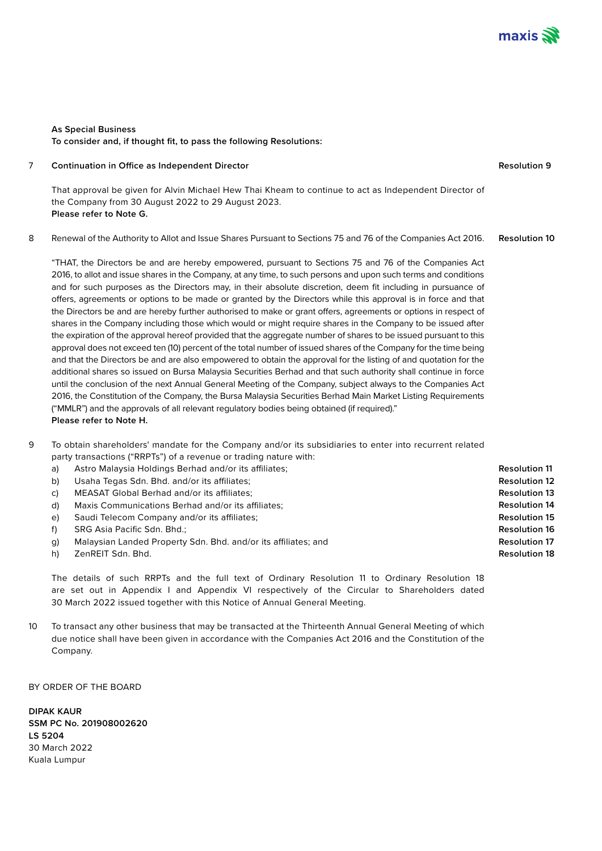

**Resolution 9**

## **As Special Business To consider and, if thought fit, to pass the following Resolutions:**

#### 7 **Continuation in Office as Independent Director**

That approval be given for Alvin Michael Hew Thai Kheam to continue to act as Independent Director of the Company from 30 August 2022 to 29 August 2023. **Please refer to Note G.**

8 Renewal of the Authority to Allot and Issue Shares Pursuant to Sections 75 and 76 of the Companies Act 2016. **Resolution 10**

"THAT, the Directors be and are hereby empowered, pursuant to Sections 75 and 76 of the Companies Act 2016, to allot and issue shares in the Company, at any time, to such persons and upon such terms and conditions and for such purposes as the Directors may, in their absolute discretion, deem fit including in pursuance of offers, agreements or options to be made or granted by the Directors while this approval is in force and that the Directors be and are hereby further authorised to make or grant offers, agreements or options in respect of shares in the Company including those which would or might require shares in the Company to be issued after the expiration of the approval hereof provided that the aggregate number of shares to be issued pursuant to this approval does not exceed ten (10) percent of the total number of issued shares of the Company for the time being and that the Directors be and are also empowered to obtain the approval for the listing of and quotation for the additional shares so issued on Bursa Malaysia Securities Berhad and that such authority shall continue in force until the conclusion of the next Annual General Meeting of the Company, subject always to the Companies Act 2016, the Constitution of the Company, the Bursa Malaysia Securities Berhad Main Market Listing Requirements ("MMLR") and the approvals of all relevant regulatory bodies being obtained (if required)." **Please refer to Note H.**

- 9 To obtain shareholders' mandate for the Company and/or its subsidiaries to enter into recurrent related party transactions ("RRPTs") of a revenue or trading nature with:
	- a) Astro Malaysia Holdings Berhad and/or its affiliates;
	- b) Usaha Tegas Sdn. Bhd. and/or its affiliates;
	- c) MEASAT Global Berhad and/or its affiliates;
	- d) Maxis Communications Berhad and/or its affiliates;
	- e) Saudi Telecom Company and/or its affiliates;
	- f) SRG Asia Pacific Sdn. Bhd.;
	- g) Malaysian Landed Property Sdn. Bhd. and/or its affiliates; and
	- h) ZenREIT Sdn. Bhd.

The details of such RRPTs and the full text of Ordinary Resolution 11 to Ordinary Resolution 18 are set out in Appendix I and Appendix VI respectively of the Circular to Shareholders dated 30 March 2022 issued together with this Notice of Annual General Meeting.

10 To transact any other business that may be transacted at the Thirteenth Annual General Meeting of which due notice shall have been given in accordance with the Companies Act 2016 and the Constitution of the Company.

BY ORDER OF THE BOARD

**DIPAK KAUR SSM PC No. 201908002620 LS 5204** 30 March 2022 Kuala Lumpur

**Resolution 11 Resolution 12 Resolution 13 Resolution 14 Resolution 15 Resolution 16 Resolution 17 Resolution 18**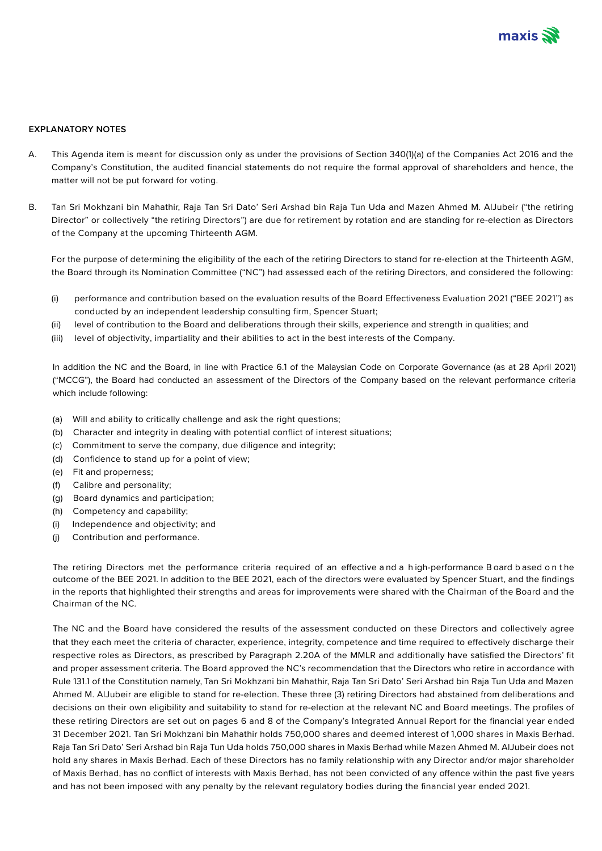

## **EXPLANATORY NOTES**

- A. This Agenda item is meant for discussion only as under the provisions of Section 340(1)(a) of the Companies Act 2016 and the Company's Constitution, the audited financial statements do not require the formal approval of shareholders and hence, the matter will not be put forward for voting.
- B. Tan Sri Mokhzani bin Mahathir, Raja Tan Sri Dato' Seri Arshad bin Raja Tun Uda and Mazen Ahmed M. AlJubeir ("the retiring Director" or collectively "the retiring Directors") are due for retirement by rotation and are standing for re-election as Directors of the Company at the upcoming Thirteenth AGM.

For the purpose of determining the eligibility of the each of the retiring Directors to stand for re-election at the Thirteenth AGM, the Board through its Nomination Committee ("NC") had assessed each of the retiring Directors, and considered the following:

- (i) performance and contribution based on the evaluation results of the Board Effectiveness Evaluation 2021 ("BEE 2021") as conducted by an independent leadership consulting firm, Spencer Stuart;
- (ii) level of contribution to the Board and deliberations through their skills, experience and strength in qualities; and
- (iii) level of objectivity, impartiality and their abilities to act in the best interests of the Company.

In addition the NC and the Board, in line with Practice 6.1 of the Malaysian Code on Corporate Governance (as at 28 April 2021) ("MCCG"), the Board had conducted an assessment of the Directors of the Company based on the relevant performance criteria which include following:

- (a) Will and ability to critically challenge and ask the right questions;
- (b) Character and integrity in dealing with potential conflict of interest situations;
- (c) Commitment to serve the company, due diligence and integrity;
- (d) Confidence to stand up for a point of view;
- (e) Fit and properness;
- (f) Calibre and personality;
- (g) Board dynamics and participation;
- (h) Competency and capability;
- (i) Independence and objectivity; and
- (j) Contribution and performance.

The retiring Directors met the performance criteria required of an effective a nd a h igh-performance B oard b ased o n t he outcome of the BEE 2021. In addition to the BEE 2021, each of the directors were evaluated by Spencer Stuart, and the findings in the reports that highlighted their strengths and areas for improvements were shared with the Chairman of the Board and the Chairman of the NC.

The NC and the Board have considered the results of the assessment conducted on these Directors and collectively agree that they each meet the criteria of character, experience, integrity, competence and time required to effectively discharge their respective roles as Directors, as prescribed by Paragraph 2.20A of the MMLR and additionally have satisfied the Directors' fit and proper assessment criteria. The Board approved the NC's recommendation that the Directors who retire in accordance with Rule 131.1 of the Constitution namely, Tan Sri Mokhzani bin Mahathir, Raja Tan Sri Dato' Seri Arshad bin Raja Tun Uda and Mazen Ahmed M. AlJubeir are eligible to stand for re-election. These three (3) retiring Directors had abstained from deliberations and decisions on their own eligibility and suitability to stand for re-election at the relevant NC and Board meetings. The profiles of these retiring Directors are set out on pages 6 and 8 of the Company's Integrated Annual Report for the financial year ended 31 December 2021. Tan Sri Mokhzani bin Mahathir holds 750,000 shares and deemed interest of 1,000 shares in Maxis Berhad. Raja Tan Sri Dato' Seri Arshad bin Raja Tun Uda holds 750,000 shares in Maxis Berhad while Mazen Ahmed M. AlJubeir does not hold any shares in Maxis Berhad. Each of these Directors has no family relationship with any Director and/or major shareholder of Maxis Berhad, has no conflict of interests with Maxis Berhad, has not been convicted of any offence within the past five years and has not been imposed with any penalty by the relevant regulatory bodies during the financial year ended 2021.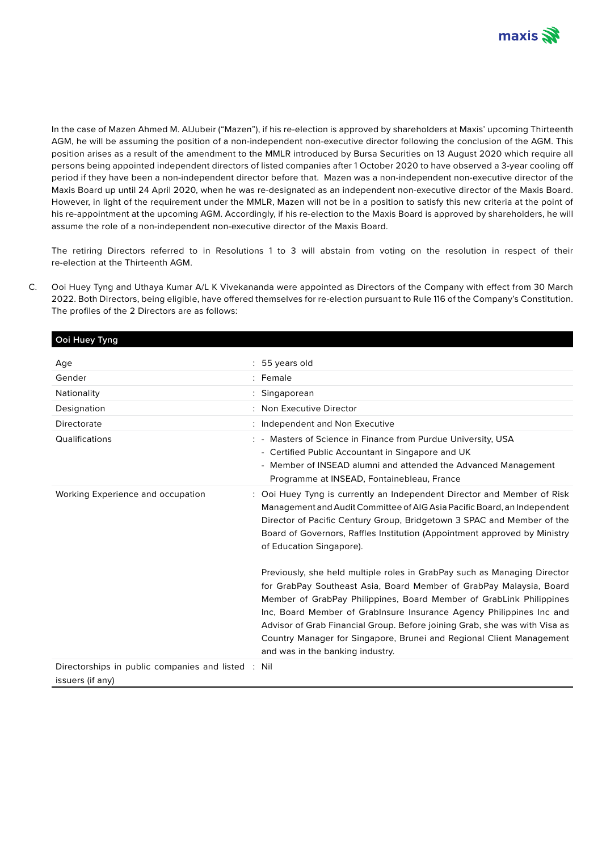

In the case of Mazen Ahmed M. AlJubeir ("Mazen"), if his re-election is approved by shareholders at Maxis' upcoming Thirteenth AGM, he will be assuming the position of a non-independent non-executive director following the conclusion of the AGM. This position arises as a result of the amendment to the MMLR introduced by Bursa Securities on 13 August 2020 which require all persons being appointed independent directors of listed companies after 1 October 2020 to have observed a 3-year cooling off period if they have been a non-independent director before that. Mazen was a non-independent non-executive director of the Maxis Board up until 24 April 2020, when he was re-designated as an independent non-executive director of the Maxis Board. However, in light of the requirement under the MMLR, Mazen will not be in a position to satisfy this new criteria at the point of his re-appointment at the upcoming AGM. Accordingly, if his re-election to the Maxis Board is approved by shareholders, he will assume the role of a non-independent non-executive director of the Maxis Board.

The retiring Directors referred to in Resolutions 1 to 3 will abstain from voting on the resolution in respect of their re-election at the Thirteenth AGM.

C. Ooi Huey Tyng and Uthaya Kumar A/L K Vivekananda were appointed as Directors of the Company with effect from 30 March 2022. Both Directors, being eligible, have offered themselves for re-election pursuant to Rule 116 of the Company's Constitution. The profiles of the 2 Directors are as follows:

**Ooi Huey Tyng**

| Age                                                                    | : 55 years old                                                                                                                                                                                                                                                                                                                                                                                                                                                                           |
|------------------------------------------------------------------------|------------------------------------------------------------------------------------------------------------------------------------------------------------------------------------------------------------------------------------------------------------------------------------------------------------------------------------------------------------------------------------------------------------------------------------------------------------------------------------------|
| Gender                                                                 | : Female                                                                                                                                                                                                                                                                                                                                                                                                                                                                                 |
| Nationality                                                            | : Singaporean                                                                                                                                                                                                                                                                                                                                                                                                                                                                            |
| Designation                                                            | : Non Executive Director                                                                                                                                                                                                                                                                                                                                                                                                                                                                 |
| Directorate                                                            | : Independent and Non Executive                                                                                                                                                                                                                                                                                                                                                                                                                                                          |
| Qualifications                                                         | : - Masters of Science in Finance from Purdue University, USA<br>- Certified Public Accountant in Singapore and UK<br>- Member of INSEAD alumni and attended the Advanced Management<br>Programme at INSEAD, Fontainebleau, France                                                                                                                                                                                                                                                       |
| Working Experience and occupation                                      | : Ooi Huey Tyng is currently an Independent Director and Member of Risk<br>Management and Audit Committee of AIG Asia Pacific Board, an Independent<br>Director of Pacific Century Group, Bridgetown 3 SPAC and Member of the<br>Board of Governors, Raffles Institution (Appointment approved by Ministry<br>of Education Singapore).                                                                                                                                                   |
|                                                                        | Previously, she held multiple roles in GrabPay such as Managing Director<br>for GrabPay Southeast Asia, Board Member of GrabPay Malaysia, Board<br>Member of GrabPay Philippines, Board Member of GrabLink Philippines<br>Inc, Board Member of GrabInsure Insurance Agency Philippines Inc and<br>Advisor of Grab Financial Group. Before joining Grab, she was with Visa as<br>Country Manager for Singapore, Brunei and Regional Client Management<br>and was in the banking industry. |
| Directorships in public companies and listed : Nil<br>issuers (if any) |                                                                                                                                                                                                                                                                                                                                                                                                                                                                                          |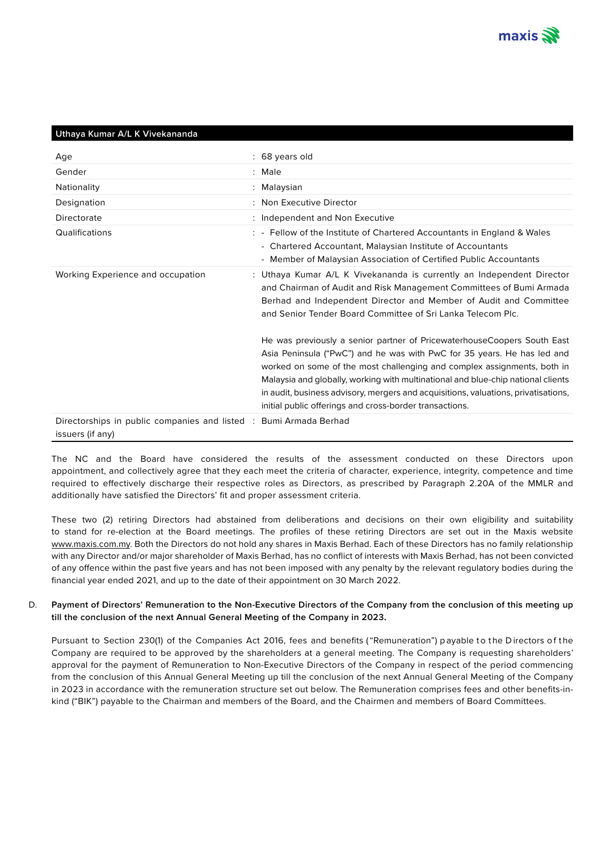

## **Uthaya Kumar A/L K Vivekananda**

| Age                                                                                   | : 68 years old                                                                                                                                                                                                                                                                                                                                                                                                                                                      |
|---------------------------------------------------------------------------------------|---------------------------------------------------------------------------------------------------------------------------------------------------------------------------------------------------------------------------------------------------------------------------------------------------------------------------------------------------------------------------------------------------------------------------------------------------------------------|
| Gender                                                                                | : Male                                                                                                                                                                                                                                                                                                                                                                                                                                                              |
| Nationality                                                                           | : Malaysian                                                                                                                                                                                                                                                                                                                                                                                                                                                         |
| Designation                                                                           | : Non Executive Director                                                                                                                                                                                                                                                                                                                                                                                                                                            |
| Directorate                                                                           | : Independent and Non Executive                                                                                                                                                                                                                                                                                                                                                                                                                                     |
| Qualifications                                                                        | : - Fellow of the Institute of Chartered Accountants in England & Wales<br>- Chartered Accountant, Malaysian Institute of Accountants<br>- Member of Malaysian Association of Certified Public Accountants                                                                                                                                                                                                                                                          |
| Working Experience and occupation                                                     | : Uthaya Kumar A/L K Vivekananda is currently an Independent Director<br>and Chairman of Audit and Risk Management Committees of Bumi Armada<br>Berhad and Independent Director and Member of Audit and Committee<br>and Senior Tender Board Committee of Sri Lanka Telecom Plc.                                                                                                                                                                                    |
|                                                                                       | He was previously a senior partner of Pricewaterhouse Coopers South East<br>Asia Peninsula ("PwC") and he was with PwC for 35 years. He has led and<br>worked on some of the most challenging and complex assignments, both in<br>Malaysia and globally, working with multinational and blue-chip national clients<br>in audit, business advisory, mergers and acquisitions, valuations, privatisations,<br>initial public offerings and cross-border transactions. |
| Directorships in public companies and listed : Bumi Armada Berhad<br>issuers (if any) |                                                                                                                                                                                                                                                                                                                                                                                                                                                                     |

The NC and the Board have considered the results of the assessment conducted on these Directors upon appointment, and collectively agree that they each meet the criteria of character, experience, integrity, competence and time required to effectively discharge their respective roles as Directors, as prescribed by Paragraph 2.20A of the MMLR and additionally have satisfied the Directors' fit and proper assessment criteria.

These two (2) retiring Directors had abstained from deliberations and decisions on their own eligibility and suitability to stand for re-election at the Board meetings. The profiles of these retiring Directors are set out in the Maxis website www.maxis.com.my. Both the Directors do not hold any shares in Maxis Berhad. Each of these Directors has no family relationship with any Director and/or major shareholder of Maxis Berhad, has no conflict of interests with Maxis Berhad, has not been convicted of any offence within the past five years and has not been imposed with any penalty by the relevant regulatory bodies during the financial year ended 2021, and up to the date of their appointment on 30 March 2022.

## D. **Payment of Directors' Remuneration to the Non-Executive Directors of the Company from the conclusion of this meeting up till the conclusion of the next Annual General Meeting of the Company in 2023.**

Pursuant to Section 230(1) of the Companies Act 2016, fees and benefits ("Remuneration") p ayable to the Directors of the Company are required to be approved by the shareholders at a general meeting. The Company is requesting shareholders' approval for the payment of Remuneration to Non-Executive Directors of the Company in respect of the period commencing from the conclusion of this Annual General Meeting up till the conclusion of the next Annual General Meeting of the Company in 2023 in accordance with the remuneration structure set out below. The Remuneration comprises fees and other benefits-inkind ("BIK") payable to the Chairman and members of the Board, and the Chairmen and members of Board Committees.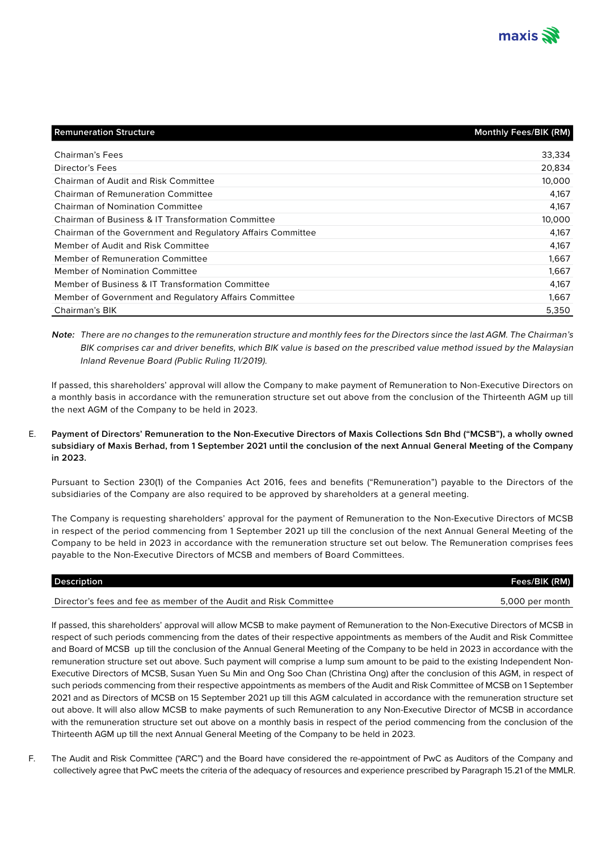

| <b>Remuneration Structure</b>                               | <b>Monthly Fees/BIK (RM)</b> |
|-------------------------------------------------------------|------------------------------|
|                                                             |                              |
| <b>Chairman's Fees</b>                                      | 33,334                       |
| Director's Fees                                             | 20,834                       |
| <b>Chairman of Audit and Risk Committee</b>                 | 10.000                       |
| <b>Chairman of Remuneration Committee</b>                   | 4.167                        |
| <b>Chairman of Nomination Committee</b>                     | 4,167                        |
| Chairman of Business & IT Transformation Committee          | 10.000                       |
| Chairman of the Government and Regulatory Affairs Committee | 4,167                        |
| Member of Audit and Risk Committee                          | 4,167                        |
| <b>Member of Remuneration Committee</b>                     | 1.667                        |
| <b>Member of Nomination Committee</b>                       | 1,667                        |
| Member of Business & IT Transformation Committee            | 4.167                        |
| Member of Government and Regulatory Affairs Committee       | 1,667                        |
| <b>Chairman's BIK</b>                                       | 5,350                        |

**Note:** There are no changes to the remuneration structure and monthly fees for the Directors since the last AGM. The Chairman's BIK comprises car and driver benefits, which BIK value is based on the prescribed value method issued by the Malaysian Inland Revenue Board (Public Ruling 11/2019).

If passed, this shareholders' approval will allow the Company to make payment of Remuneration to Non-Executive Directors on a monthly basis in accordance with the remuneration structure set out above from the conclusion of the Thirteenth AGM up till the next AGM of the Company to be held in 2023.

## E. **Payment of Directors' Remuneration to the Non-Executive Directors of Maxis Collections Sdn Bhd ("MCSB"), a wholly owned subsidiary of Maxis Berhad, from 1 September 2021 until the conclusion of the next Annual General Meeting of the Company in 2023.**

Pursuant to Section 230(1) of the Companies Act 2016, fees and benefits ("Remuneration") payable to the Directors of the subsidiaries of the Company are also required to be approved by shareholders at a general meeting.

The Company is requesting shareholders' approval for the payment of Remuneration to the Non-Executive Directors of MCSB in respect of the period commencing from 1 September 2021 up till the conclusion of the next Annual General Meeting of the Company to be held in 2023 in accordance with the remuneration structure set out below. The Remuneration comprises fees payable to the Non-Executive Directors of MCSB and members of Board Committees.

| <b>Description</b>                                                | Fees/BIK (RM)   |
|-------------------------------------------------------------------|-----------------|
| Director's fees and fee as member of the Audit and Risk Committee | 5,000 per month |

If passed, this shareholders' approval will allow MCSB to make payment of Remuneration to the Non-Executive Directors of MCSB in respect of such periods commencing from the dates of their respective appointments as members of the Audit and Risk Committee and Board of MCSB up till the conclusion of the Annual General Meeting of the Company to be held in 2023 in accordance with the remuneration structure set out above. Such payment will comprise a lump sum amount to be paid to the existing Independent Non-Executive Directors of MCSB, Susan Yuen Su Min and Ong Soo Chan (Christina Ong) after the conclusion of this AGM, in respect of such periods commencing from their respective appointments as members of the Audit and Risk Committee of MCSB on 1 September 2021 and as Directors of MCSB on 15 September 2021 up till this AGM calculated in accordance with the remuneration structure set out above. It will also allow MCSB to make payments of such Remuneration to any Non-Executive Director of MCSB in accordance with the remuneration structure set out above on a monthly basis in respect of the period commencing from the conclusion of the Thirteenth AGM up till the next Annual General Meeting of the Company to be held in 2023.

F. The Audit and Risk Committee ("ARC") and the Board have considered the re-appointment of PwC as Auditors of the Company and collectively agree that PwC meets the criteria of the adequacy of resources and experience prescribed by Paragraph 15.21 of the MMLR.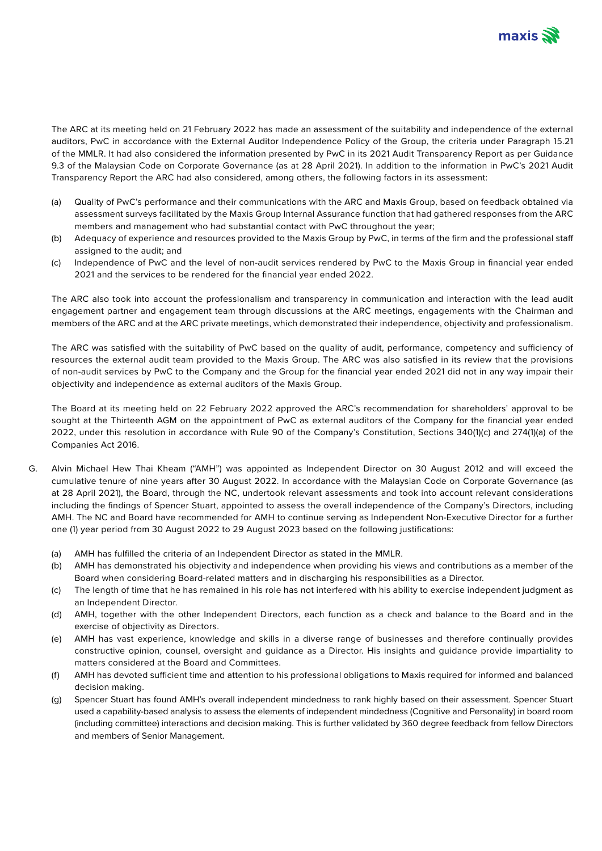

The ARC at its meeting held on 21 February 2022 has made an assessment of the suitability and independence of the external auditors, PwC in accordance with the External Auditor Independence Policy of the Group, the criteria under Paragraph 15.21 of the MMLR. It had also considered the information presented by PwC in its 2021 Audit Transparency Report as per Guidance 9.3 of the Malaysian Code on Corporate Governance (as at 28 April 2021). In addition to the information in PwC's 2021 Audit Transparency Report the ARC had also considered, among others, the following factors in its assessment:

- (a) Quality of PwC's performance and their communications with the ARC and Maxis Group, based on feedback obtained via assessment surveys facilitated by the Maxis Group Internal Assurance function that had gathered responses from the ARC members and management who had substantial contact with PwC throughout the year;
- (b) Adequacy of experience and resources provided to the Maxis Group by PwC, in terms of the firm and the professional staff assigned to the audit; and
- (c) Independence of PwC and the level of non-audit services rendered by PwC to the Maxis Group in financial year ended 2021 and the services to be rendered for the financial year ended 2022.

The ARC also took into account the professionalism and transparency in communication and interaction with the lead audit engagement partner and engagement team through discussions at the ARC meetings, engagements with the Chairman and members of the ARC and at the ARC private meetings, which demonstrated their independence, objectivity and professionalism.

The ARC was satisfied with the suitability of PwC based on the quality of audit, performance, competency and sufficiency of resources the external audit team provided to the Maxis Group. The ARC was also satisfied in its review that the provisions of non-audit services by PwC to the Company and the Group for the financial year ended 2021 did not in any way impair their objectivity and independence as external auditors of the Maxis Group.

The Board at its meeting held on 22 February 2022 approved the ARC's recommendation for shareholders' approval to be sought at the Thirteenth AGM on the appointment of PwC as external auditors of the Company for the financial year ended 2022, under this resolution in accordance with Rule 90 of the Company's Constitution, Sections 340(1)(c) and 274(1)(a) of the Companies Act 2016.

- G. Alvin Michael Hew Thai Kheam ("AMH") was appointed as Independent Director on 30 August 2012 and will exceed the cumulative tenure of nine years after 30 August 2022. In accordance with the Malaysian Code on Corporate Governance (as at 28 April 2021), the Board, through the NC, undertook relevant assessments and took into account relevant considerations including the findings of Spencer Stuart, appointed to assess the overall independence of the Company's Directors, including AMH. The NC and Board have recommended for AMH to continue serving as Independent Non-Executive Director for a further one (1) year period from 30 August 2022 to 29 August 2023 based on the following justifications:
	- (a) AMH has fulfilled the criteria of an Independent Director as stated in the MMLR.
	- (b) AMH has demonstrated his objectivity and independence when providing his views and contributions as a member of the Board when considering Board-related matters and in discharging his responsibilities as a Director.
	- (c) The length of time that he has remained in his role has not interfered with his ability to exercise independent judgment as an Independent Director.
	- (d) AMH, together with the other Independent Directors, each function as a check and balance to the Board and in the exercise of objectivity as Directors.
	- (e) AMH has vast experience, knowledge and skills in a diverse range of businesses and therefore continually provides constructive opinion, counsel, oversight and guidance as a Director. His insights and guidance provide impartiality to matters considered at the Board and Committees.
	- (f) AMH has devoted sufficient time and attention to his professional obligations to Maxis required for informed and balanced decision making.
	- (g) Spencer Stuart has found AMH's overall independent mindedness to rank highly based on their assessment. Spencer Stuart used a capability-based analysis to assess the elements of independent mindedness (Cognitive and Personality) in board room (including committee) interactions and decision making. This is further validated by 360 degree feedback from fellow Directors and members of Senior Management.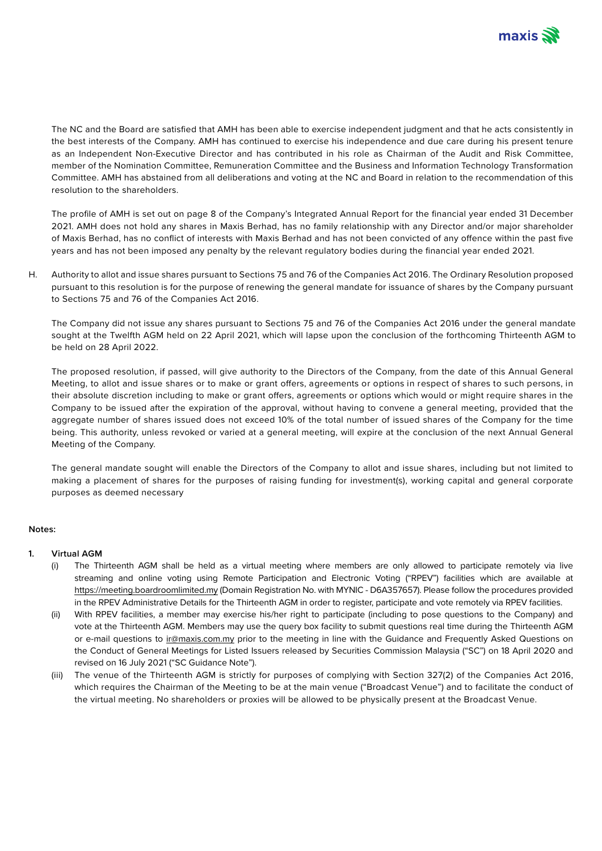

The NC and the Board are satisfied that AMH has been able to exercise independent judgment and that he acts consistently in the best interests of the Company. AMH has continued to exercise his independence and due care during his present tenure as an Independent Non-Executive Director and has contributed in his role as Chairman of the Audit and Risk Committee, member of the Nomination Committee, Remuneration Committee and the Business and Information Technology Transformation Committee. AMH has abstained from all deliberations and voting at the NC and Board in relation to the recommendation of this resolution to the shareholders.

The profile of AMH is set out on page 8 of the Company's Integrated Annual Report for the financial year ended 31 December 2021. AMH does not hold any shares in Maxis Berhad, has no family relationship with any Director and/or major shareholder of Maxis Berhad, has no conflict of interests with Maxis Berhad and has not been convicted of any offence within the past five years and has not been imposed any penalty by the relevant regulatory bodies during the financial year ended 2021.

H. Authority to allot and issue shares pursuant to Sections 75 and 76 of the Companies Act 2016. The Ordinary Resolution proposed pursuant to this resolution is for the purpose of renewing the general mandate for issuance of shares by the Company pursuant to Sections 75 and 76 of the Companies Act 2016.

The Company did not issue any shares pursuant to Sections 75 and 76 of the Companies Act 2016 under the general mandate sought at the Twelfth AGM held on 22 April 2021, which will lapse upon the conclusion of the forthcoming Thirteenth AGM to be held on 28 April 2022.

The proposed resolution, if passed, will give authority to the Directors of the Company, from the date of this Annual General Meeting, to allot and issue shares or to make or grant offers, agreements or options in respect of shares to such persons, in their absolute discretion including to make or grant offers, agreements or options which would or might require shares in the Company to be issued after the expiration of the approval, without having to convene a general meeting, provided that the aggregate number of shares issued does not exceed 10% of the total number of issued shares of the Company for the time being. This authority, unless revoked or varied at a general meeting, will expire at the conclusion of the next Annual General Meeting of the Company.

The general mandate sought will enable the Directors of the Company to allot and issue shares, including but not limited to making a placement of shares for the purposes of raising funding for investment(s), working capital and general corporate purposes as deemed necessary

#### **Notes:**

#### **1. Virtual AGM**

- (i) The Thirteenth AGM shall be held as a virtual meeting where members are only allowed to participate remotely via live streaming and online voting using Remote Participation and Electronic Voting ("RPEV") facilities which are available at https://meeting.boardroomlimited.my (Domain Registration No. with MYNIC - D6A357657). Please follow the procedures provided in the RPEV Administrative Details for the Thirteenth AGM in order to register, participate and vote remotely via RPEV facilities.
- (ii) With RPEV facilities, a member may exercise his/her right to participate (including to pose questions to the Company) and vote at the Thirteenth AGM. Members may use the query box facility to submit questions real time during the Thirteenth AGM or e-mail questions to ir@maxis.com.my prior to the meeting in line with the Guidance and Frequently Asked Questions on the Conduct of General Meetings for Listed Issuers released by Securities Commission Malaysia ("SC") on 18 April 2020 and revised on 16 July 2021 ("SC Guidance Note").
- (iii) The venue of the Thirteenth AGM is strictly for purposes of complying with Section 327(2) of the Companies Act 2016, which requires the Chairman of the Meeting to be at the main venue ("Broadcast Venue") and to facilitate the conduct of the virtual meeting. No shareholders or proxies will be allowed to be physically present at the Broadcast Venue.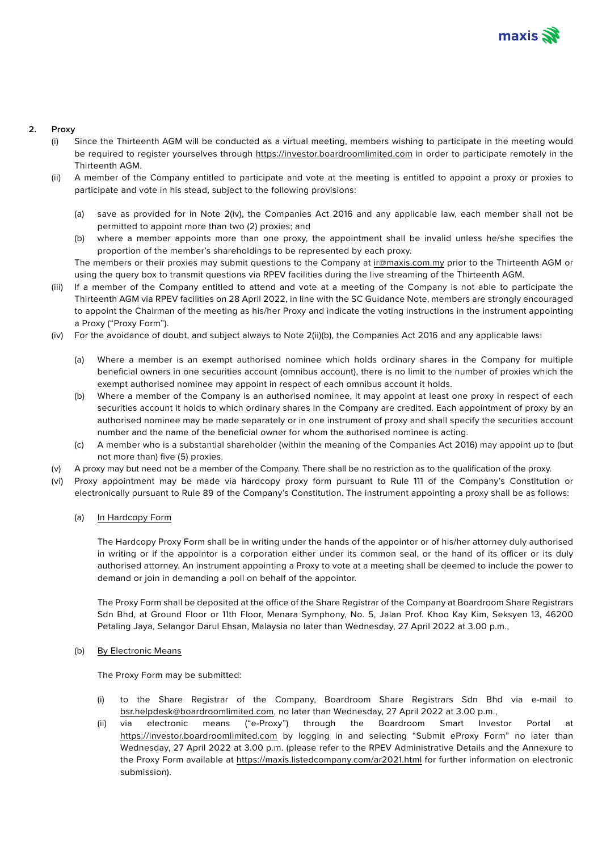

# **2. Proxy**

- (i) Since the Thirteenth AGM will be conducted as a virtual meeting, members wishing to participate in the meeting would be required to register yourselves through https://investor.boardroomlimited.com in order to participate remotely in the Thirteenth AGM.
- (ii) A member of the Company entitled to participate and vote at the meeting is entitled to appoint a proxy or proxies to participate and vote in his stead, subject to the following provisions:
	- (a) save as provided for in Note 2(iv), the Companies Act 2016 and any applicable law, each member shall not be permitted to appoint more than two (2) proxies; and
	- (b) where a member appoints more than one proxy, the appointment shall be invalid unless he/she specifies the proportion of the member's shareholdings to be represented by each proxy.

The members or their proxies may submit questions to the Company at ir@maxis.com.my prior to the Thirteenth AGM or using the query box to transmit questions via RPEV facilities during the live streaming of the Thirteenth AGM.

- (iii) If a member of the Company entitled to attend and vote at a meeting of the Company is not able to participate the Thirteenth AGM via RPEV facilities on 28 April 2022, in line with the SC Guidance Note, members are strongly encouraged to appoint the Chairman of the meeting as his/her Proxy and indicate the voting instructions in the instrument appointing a Proxy ("Proxy Form").
- (iv) For the avoidance of doubt, and subject always to Note 2(ii)(b), the Companies Act 2016 and any applicable laws:
	- (a) Where a member is an exempt authorised nominee which holds ordinary shares in the Company for multiple beneficial owners in one securities account (omnibus account), there is no limit to the number of proxies which the exempt authorised nominee may appoint in respect of each omnibus account it holds.
	- (b) Where a member of the Company is an authorised nominee, it may appoint at least one proxy in respect of each securities account it holds to which ordinary shares in the Company are credited. Each appointment of proxy by an authorised nominee may be made separately or in one instrument of proxy and shall specify the securities account number and the name of the beneficial owner for whom the authorised nominee is acting.
	- (c) A member who is a substantial shareholder (within the meaning of the Companies Act 2016) may appoint up to (but not more than) five (5) proxies.
- (v) A proxy may but need not be a member of the Company. There shall be no restriction as to the qualification of the proxy.
- (vi) Proxy appointment may be made via hardcopy proxy form pursuant to Rule 111 of the Company's Constitution or electronically pursuant to Rule 89 of the Company's Constitution. The instrument appointing a proxy shall be as follows:
	- (a) In Hardcopy Form

The Hardcopy Proxy Form shall be in writing under the hands of the appointor or of his/her attorney duly authorised in writing or if the appointor is a corporation either under its common seal, or the hand of its officer or its duly authorised attorney. An instrument appointing a Proxy to vote at a meeting shall be deemed to include the power to demand or join in demanding a poll on behalf of the appointor.

The Proxy Form shall be deposited at the office of the Share Registrar of the Company at Boardroom Share Registrars Sdn Bhd, at Ground Floor or 11th Floor, Menara Symphony, No. 5, Jalan Prof. Khoo Kay Kim, Seksyen 13, 46200 Petaling Jaya, Selangor Darul Ehsan, Malaysia no later than Wednesday, 27 April 2022 at 3.00 p.m.,

#### (b) By Electronic Means

The Proxy Form may be submitted:

- (i) to the Share Registrar of the Company, Boardroom Share Registrars Sdn Bhd via e-mail to bsr.helpdesk@boardroomlimited.com, no later than Wednesday, 27 April 2022 at 3.00 p.m.,
- (ii) via electronic means ("e-Proxy") through the Boardroom Smart Investor Portal at https://investor.boardroomlimited.com by logging in and selecting "Submit eProxy Form" no later than Wednesday, 27 April 2022 at 3.00 p.m. (please refer to the RPEV Administrative Details and the Annexure to the Proxy Form available at https://maxis.listedcompany.com/ar2021.html for further information on electronic submission).